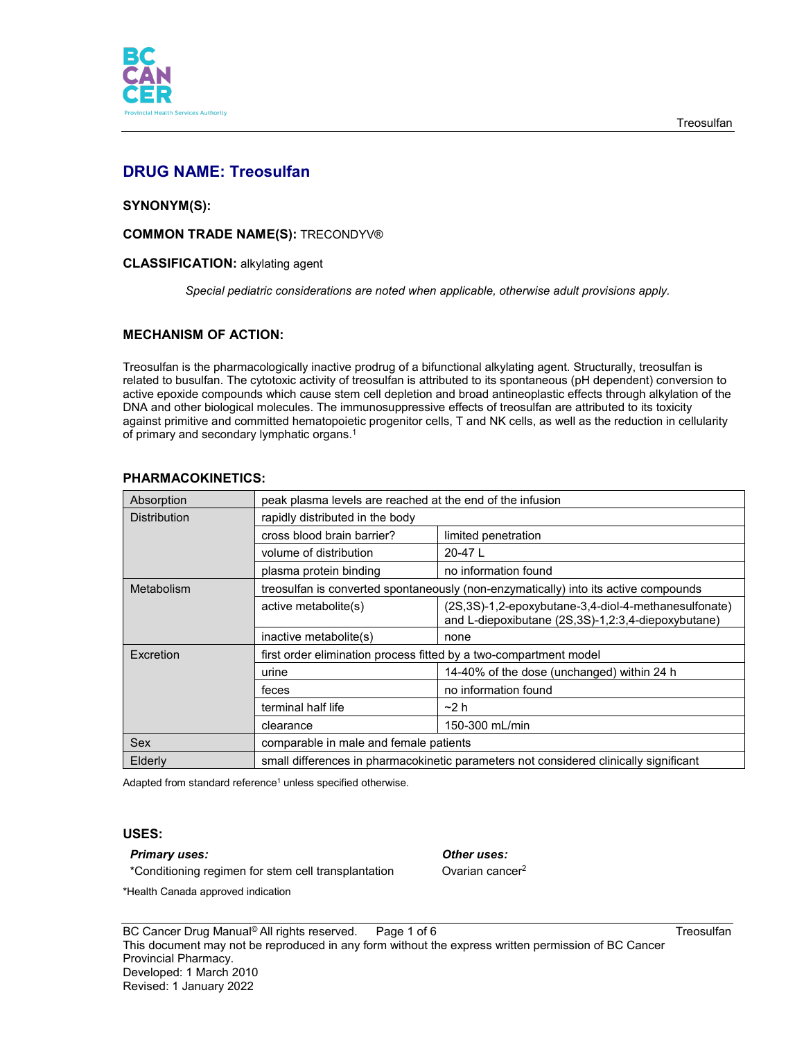

# **DRUG NAME: Treosulfan**

# **SYNONYM(S):**

## **COMMON TRADE NAME(S):** TRECONDYV®

### **CLASSIFICATION:** alkylating agent

*Special pediatric considerations are noted when applicable, otherwise adult provisions apply.*

## **MECHANISM OF ACTION:**

Treosulfan is the pharmacologically inactive prodrug of a bifunctional alkylating agent. Structurally, treosulfan is related to busulfan. The cytotoxic activity of treosulfan is attributed to its spontaneous (pH dependent) conversion to active epoxide compounds which cause stem cell depletion and broad antineoplastic effects through alkylation of the DNA and other biological molecules. The immunosuppressive effects of treosulfan are attributed to its toxicity against primitive and committed hematopoietic progenitor cells, T and NK cells, as well as the reduction in cellularity of primary and secondary lymphatic organs. 1

| Absorption          | peak plasma levels are reached at the end of the infusion                             |                                                                                                            |
|---------------------|---------------------------------------------------------------------------------------|------------------------------------------------------------------------------------------------------------|
| <b>Distribution</b> | rapidly distributed in the body                                                       |                                                                                                            |
|                     | cross blood brain barrier?                                                            | limited penetration                                                                                        |
|                     | volume of distribution                                                                | 20-47L                                                                                                     |
|                     | plasma protein binding                                                                | no information found                                                                                       |
| Metabolism          | treosulfan is converted spontaneously (non-enzymatically) into its active compounds   |                                                                                                            |
|                     | active metabolite(s)                                                                  | (2S,3S)-1,2-epoxybutane-3,4-diol-4-methanesulfonate)<br>and L-diepoxibutane (2S,3S)-1,2:3,4-diepoxybutane) |
|                     | inactive metabolite(s)                                                                | none                                                                                                       |
| Excretion           | first order elimination process fitted by a two-compartment model                     |                                                                                                            |
|                     | urine                                                                                 | 14-40% of the dose (unchanged) within 24 h                                                                 |
|                     | feces                                                                                 | no information found                                                                                       |
|                     | terminal half life                                                                    | $-2h$                                                                                                      |
|                     | clearance                                                                             | 150-300 mL/min                                                                                             |
| <b>Sex</b>          | comparable in male and female patients                                                |                                                                                                            |
| Elderly             | small differences in pharmacokinetic parameters not considered clinically significant |                                                                                                            |

## **PHARMACOKINETICS:**

Adapted from standard reference<sup>1</sup> unless specified otherwise.

## **USES:**

#### *Primary uses: Other uses:*

\*Conditioning regimen for stem cell transplantation **Ovarian cancer<sup>2</sup>** 

\*Health Canada approved indication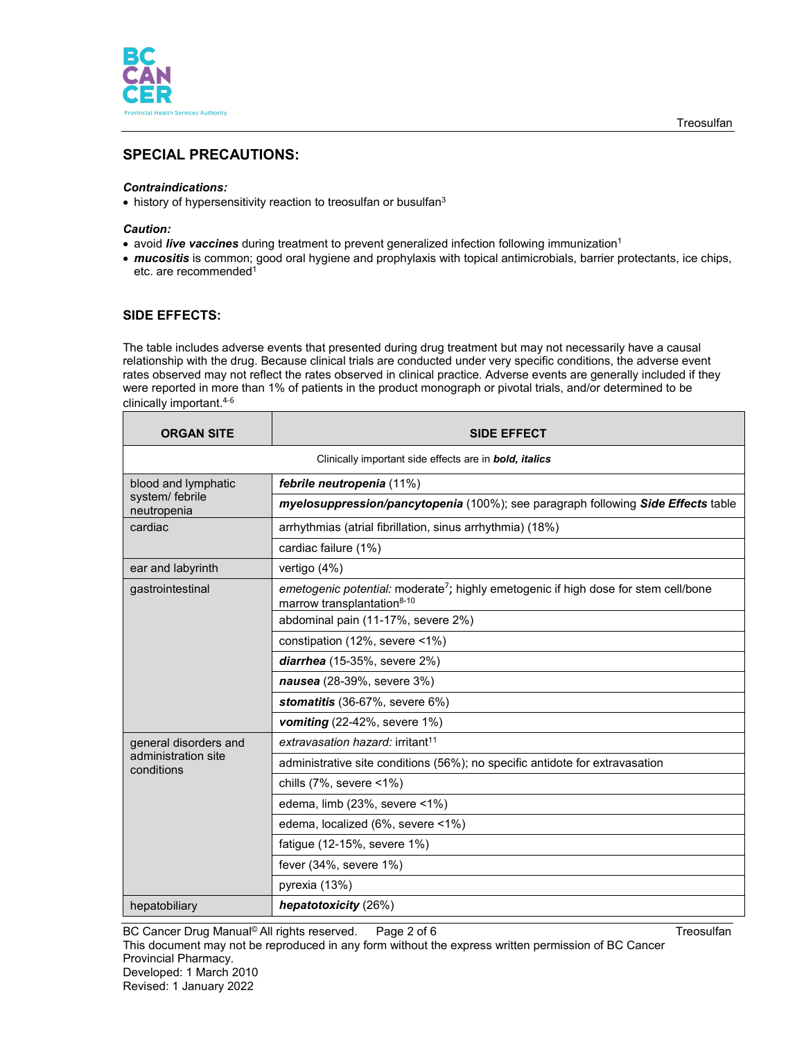

# **SPECIAL PRECAUTIONS:**

### *Contraindications:*

• history of hypersensitivity reaction to treosulfan or busulfan3

#### *Caution:*

- avoid *live vaccines* during treatment to prevent generalized infection following immunization1
- *mucositis* is common; good oral hygiene and prophylaxis with topical antimicrobials, barrier protectants, ice chips, etc. are recommended1

# **SIDE EFFECTS:**

The table includes adverse events that presented during drug treatment but may not necessarily have a causal relationship with the drug. Because clinical trials are conducted under very specific conditions, the adverse event rates observed may not reflect the rates observed in clinical practice. Adverse events are generally included if they were reported in more than 1% of patients in the product monograph or pivotal trials, and/or determined to be clinically important. 4-6

| <b>ORGAN SITE</b>                                                     | <b>SIDE EFFECT</b>                                                                                                                        |  |  |  |
|-----------------------------------------------------------------------|-------------------------------------------------------------------------------------------------------------------------------------------|--|--|--|
| Clinically important side effects are in <b>bold</b> , <i>italics</i> |                                                                                                                                           |  |  |  |
| blood and lymphatic<br>system/ febrile<br>neutropenia                 | febrile neutropenia (11%)                                                                                                                 |  |  |  |
|                                                                       | myelosuppression/pancytopenia (100%); see paragraph following Side Effects table                                                          |  |  |  |
| cardiac                                                               | arrhythmias (atrial fibrillation, sinus arrhythmia) (18%)                                                                                 |  |  |  |
|                                                                       | cardiac failure (1%)                                                                                                                      |  |  |  |
| ear and labyrinth                                                     | vertigo (4%)                                                                                                                              |  |  |  |
| gastrointestinal                                                      | emetogenic potential: moderate <sup>7</sup> ; highly emetogenic if high dose for stem cell/bone<br>marrow transplantation <sup>8-10</sup> |  |  |  |
|                                                                       | abdominal pain (11-17%, severe 2%)                                                                                                        |  |  |  |
|                                                                       | constipation (12%, severe <1%)                                                                                                            |  |  |  |
|                                                                       | diarrhea (15-35%, severe 2%)                                                                                                              |  |  |  |
|                                                                       | nausea (28-39%, severe 3%)                                                                                                                |  |  |  |
|                                                                       | stomatitis (36-67%, severe 6%)                                                                                                            |  |  |  |
|                                                                       | vomiting $(22-42\% ,$ severe 1%)                                                                                                          |  |  |  |
| general disorders and                                                 | extravasation hazard: irritant <sup>11</sup>                                                                                              |  |  |  |
| administration site<br>conditions                                     | administrative site conditions (56%); no specific antidote for extravasation                                                              |  |  |  |
|                                                                       | chills $(7\%$ , severe $\leq 1\%$ )                                                                                                       |  |  |  |
|                                                                       | edema, limb (23%, severe <1%)                                                                                                             |  |  |  |
|                                                                       | edema, localized (6%, severe <1%)                                                                                                         |  |  |  |
|                                                                       | fatigue (12-15%, severe 1%)                                                                                                               |  |  |  |
|                                                                       | fever (34%, severe 1%)                                                                                                                    |  |  |  |
|                                                                       | pyrexia (13%)                                                                                                                             |  |  |  |
| hepatobiliary                                                         | hepatotoxicity (26%)                                                                                                                      |  |  |  |

BC Cancer Drug Manual<sup>©</sup> All rights reserved. Page 2 of 6 Treosulfan

This document may not be reproduced in any form without the express written permission of BC Cancer Provincial Pharmacy. Developed: 1 March 2010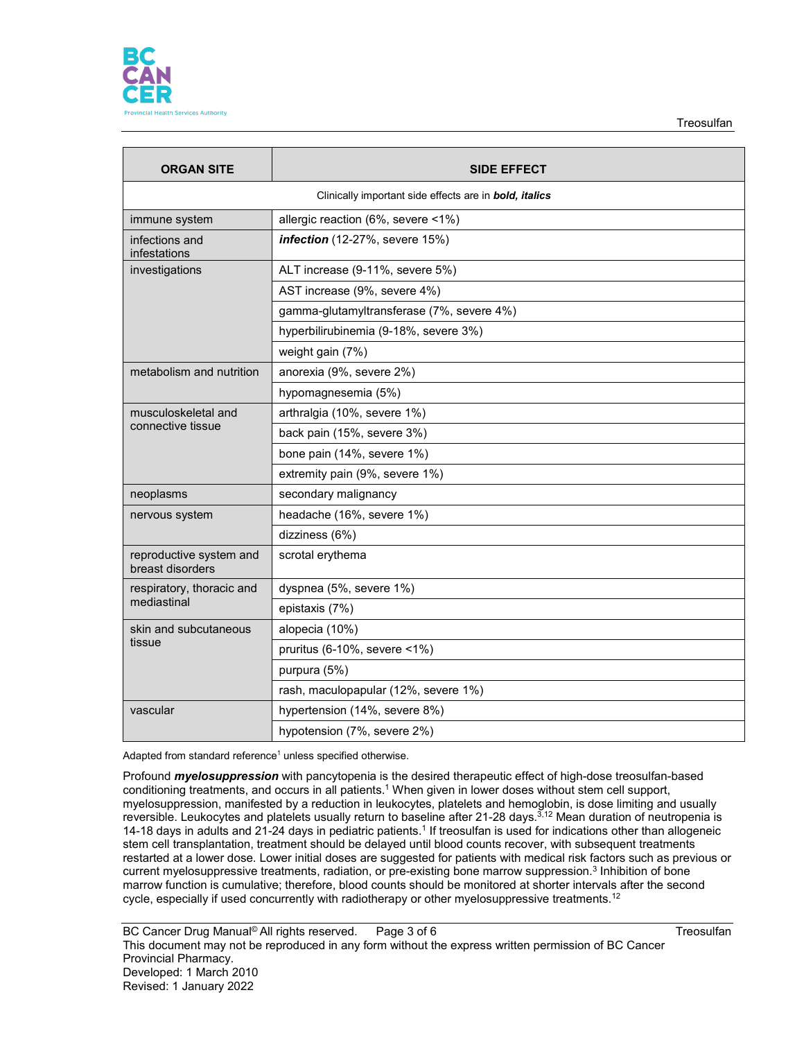

**Treosulfan** 

| <b>ORGAN SITE</b>                                             | <b>SIDE EFFECT</b>                        |  |  |  |
|---------------------------------------------------------------|-------------------------------------------|--|--|--|
| Clinically important side effects are in <b>bold, italics</b> |                                           |  |  |  |
| immune system                                                 | allergic reaction (6%, severe <1%)        |  |  |  |
| infections and<br>infestations                                | infection (12-27%, severe 15%)            |  |  |  |
| investigations                                                | ALT increase (9-11%, severe 5%)           |  |  |  |
|                                                               | AST increase (9%, severe 4%)              |  |  |  |
|                                                               | gamma-glutamyltransferase (7%, severe 4%) |  |  |  |
|                                                               | hyperbilirubinemia (9-18%, severe 3%)     |  |  |  |
|                                                               | weight gain (7%)                          |  |  |  |
| metabolism and nutrition                                      | anorexia (9%, severe 2%)                  |  |  |  |
|                                                               | hypomagnesemia (5%)                       |  |  |  |
| musculoskeletal and                                           | arthralgia (10%, severe 1%)               |  |  |  |
| connective tissue                                             | back pain (15%, severe 3%)                |  |  |  |
|                                                               | bone pain (14%, severe 1%)                |  |  |  |
|                                                               | extremity pain (9%, severe 1%)            |  |  |  |
| neoplasms                                                     | secondary malignancy                      |  |  |  |
| nervous system                                                | headache (16%, severe 1%)                 |  |  |  |
|                                                               | dizziness (6%)                            |  |  |  |
| reproductive system and<br>breast disorders                   | scrotal erythema                          |  |  |  |
| respiratory, thoracic and<br>mediastinal                      | dyspnea (5%, severe 1%)                   |  |  |  |
|                                                               | epistaxis (7%)                            |  |  |  |
| skin and subcutaneous                                         | alopecia (10%)                            |  |  |  |
| tissue                                                        | pruritus (6-10%, severe <1%)              |  |  |  |
|                                                               | purpura (5%)                              |  |  |  |
|                                                               | rash, maculopapular (12%, severe 1%)      |  |  |  |
| vascular                                                      | hypertension (14%, severe 8%)             |  |  |  |
|                                                               | hypotension (7%, severe 2%)               |  |  |  |

Adapted from standard reference<sup>1</sup> unless specified otherwise.

Profound *myelosuppression* with pancytopenia is the desired therapeutic effect of high-dose treosulfan-based conditioning treatments, and occurs in all patients.<sup>1</sup> When given in lower doses without stem cell support, myelosuppression, manifested by a reduction in leukocytes, platelets and hemoglobin, is dose limiting and usually reversible. Leukocytes and platelets usually return to baseline after 21-28 days.<sup>3,12</sup> Mean duration of neutropenia is 14-18 days in adults and 21-24 days in pediatric patients.1 If treosulfan is used for indications other than allogeneic stem cell transplantation, treatment should be delayed until blood counts recover, with subsequent treatments restarted at a lower dose. Lower initial doses are suggested for patients with medical risk factors such as previous or current myelosuppressive treatments, radiation, or pre-existing bone marrow suppression.3 Inhibition of bone marrow function is cumulative; therefore, blood counts should be monitored at shorter intervals after the second cycle, especially if used concurrently with radiotherapy or other myelosuppressive treatments. $^{\rm 12}$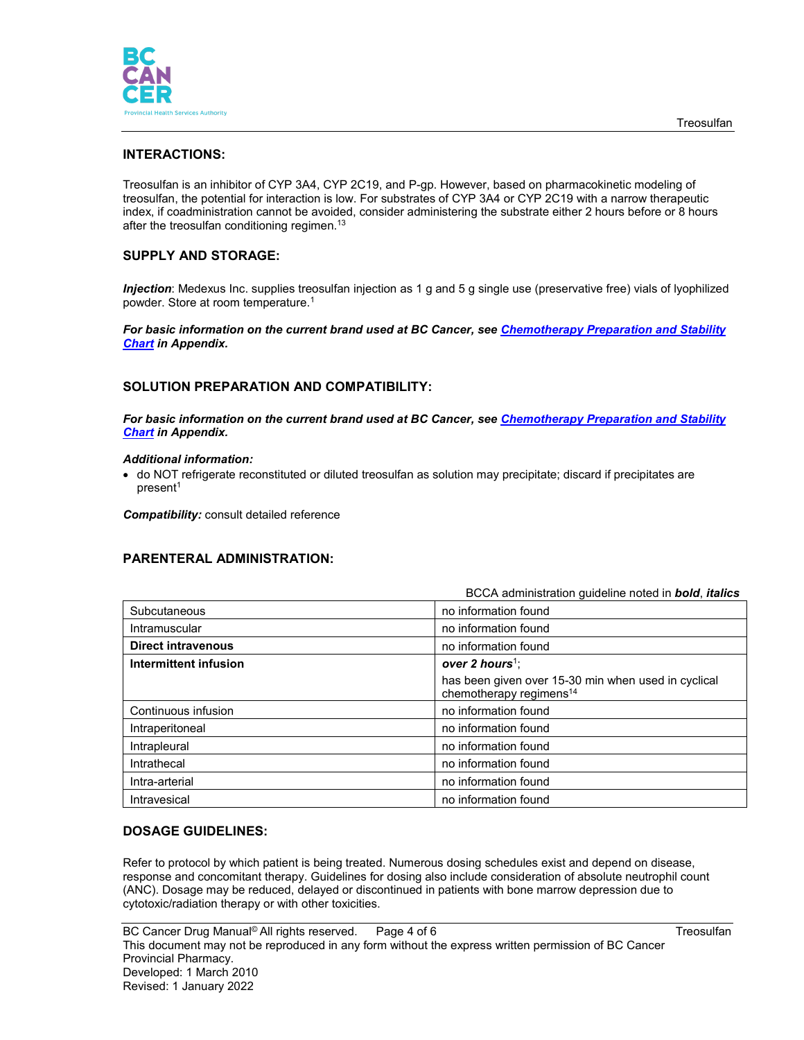

# **INTERACTIONS:**

Treosulfan is an inhibitor of CYP 3A4, CYP 2C19, and P-gp. However, based on pharmacokinetic modeling of treosulfan, the potential for interaction is low. For substrates of CYP 3A4 or CYP 2C19 with a narrow therapeutic index, if coadministration cannot be avoided, consider administering the substrate either 2 hours before or 8 hours after the treosulfan conditioning regimen.<sup>13</sup>

# **SUPPLY AND STORAGE:**

*Injection*: Medexus Inc. supplies treosulfan injection as 1 g and 5 g single use (preservative free) vials of lyophilized powder. Store at room temperature.1

*For basic information on the current brand used at BC Cancer, see [Chemotherapy Preparation and Stability](http://www.bccancer.bc.ca/health-professionals/clinical-resources/cancer-drug-manual)  [Chart](http://www.bccancer.bc.ca/health-professionals/clinical-resources/cancer-drug-manual) in Appendix.*

# **SOLUTION PREPARATION AND COMPATIBILITY:**

*For basic information on the current brand used at BC Cancer, see [Chemotherapy Preparation and Stability](http://www.bccancer.bc.ca/health-professionals/clinical-resources/cancer-drug-manual)  [Chart](http://www.bccancer.bc.ca/health-professionals/clinical-resources/cancer-drug-manual) in Appendix.*

#### *Additional information:*

• do NOT refrigerate reconstituted or diluted treosulfan as solution may precipitate; discard if precipitates are present<sup>1</sup>

*Compatibility:* consult detailed reference

## **PARENTERAL ADMINISTRATION:**

|                           | BCCA administration guideline noted in bold, italics                                       |
|---------------------------|--------------------------------------------------------------------------------------------|
| Subcutaneous              | no information found                                                                       |
| Intramuscular             | no information found                                                                       |
| <b>Direct intravenous</b> | no information found                                                                       |
| Intermittent infusion     | over 2 hours <sup>1</sup> ;                                                                |
|                           | has been given over 15-30 min when used in cyclical<br>chemotherapy regimens <sup>14</sup> |
| Continuous infusion       | no information found                                                                       |
| Intraperitoneal           | no information found                                                                       |
| Intrapleural              | no information found                                                                       |
| Intrathecal               | no information found                                                                       |
| Intra-arterial            | no information found                                                                       |
| Intravesical              | no information found                                                                       |

# **DOSAGE GUIDELINES:**

Refer to protocol by which patient is being treated. Numerous dosing schedules exist and depend on disease, response and concomitant therapy. Guidelines for dosing also include consideration of absolute neutrophil count (ANC). Dosage may be reduced, delayed or discontinued in patients with bone marrow depression due to cytotoxic/radiation therapy or with other toxicities.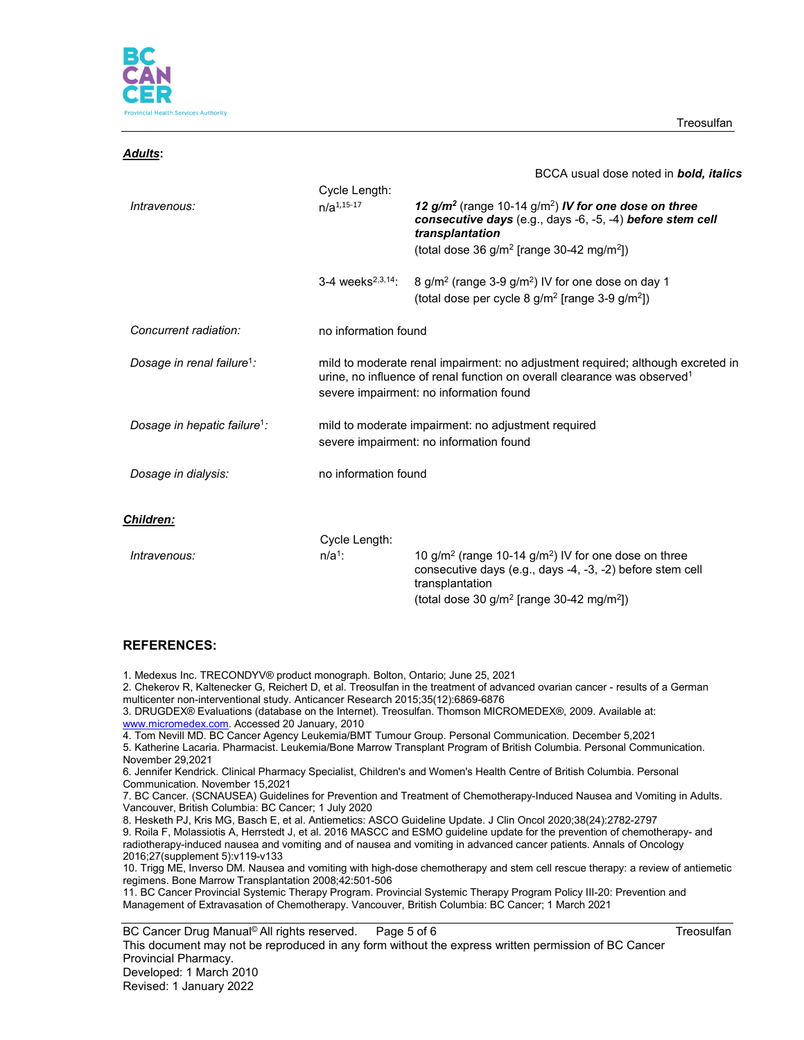

**Treosulfan** 

| <u> Adults:</u>                          |                                                                                                |                                                                                                                                                                                                                    |  |
|------------------------------------------|------------------------------------------------------------------------------------------------|--------------------------------------------------------------------------------------------------------------------------------------------------------------------------------------------------------------------|--|
|                                          |                                                                                                | BCCA usual dose noted in <b>bold, italics</b>                                                                                                                                                                      |  |
|                                          | Cycle Length:                                                                                  |                                                                                                                                                                                                                    |  |
| Intravenous:                             | $n/a^{1,15-17}$                                                                                | 12 g/m <sup>2</sup> (range 10-14 g/m <sup>2</sup> ) IV for one dose on three<br>consecutive days (e.g., days -6, -5, -4) before stem cell<br>transplantation                                                       |  |
|                                          |                                                                                                | (total dose 36 $g/m^2$ [range 30-42 mg/m <sup>2</sup> ])                                                                                                                                                           |  |
|                                          | 3-4 weeks <sup>2,3,14</sup> :                                                                  | 8 g/m <sup>2</sup> (range 3-9 g/m <sup>2</sup> ) IV for one dose on day 1<br>(total dose per cycle $8 \text{ g/m}^2$ [range 3-9 g/m <sup>2</sup> ])                                                                |  |
| Concurrent radiation:                    |                                                                                                | no information found                                                                                                                                                                                               |  |
| Dosage in renal failure <sup>1</sup> :   |                                                                                                | mild to moderate renal impairment: no adjustment required; although excreted in<br>urine, no influence of renal function on overall clearance was observed <sup>1</sup><br>severe impairment: no information found |  |
| Dosage in hepatic failure <sup>1</sup> : | mild to moderate impairment: no adjustment required<br>severe impairment: no information found |                                                                                                                                                                                                                    |  |
| Dosage in dialysis:                      | no information found                                                                           |                                                                                                                                                                                                                    |  |
| Children:                                |                                                                                                |                                                                                                                                                                                                                    |  |
|                                          | Cycle Length:                                                                                  |                                                                                                                                                                                                                    |  |
| Intravenous:                             | $n/a1$ :                                                                                       | 10 $g/m^2$ (range 10-14 $g/m^2$ ) IV for one dose on three<br>consecutive days (e.g., days -4, -3, -2) before stem cell<br>transplantation                                                                         |  |
|                                          |                                                                                                | (total dose 30 $g/m^2$ [range 30-42 mg/m <sup>2</sup> ])                                                                                                                                                           |  |

## **REFERENCES:**

1. Medexus Inc. TRECONDYV® product monograph. Bolton, Ontario; June 25, 2021

2. Chekerov R, Kaltenecker G, Reichert D, et al. Treosulfan in the treatment of advanced ovarian cancer - results of a German multicenter non-interventional study. Anticancer Research 2015;35(12):6869-6876

3. DRUGDEX® Evaluations (database on the Internet). Treosulfan. Thomson MICROMEDEX®, 2009. Available at: [www.micromedex.com.](http://www.micromedex.com/) Accessed 20 January, 2010

- 4. Tom Nevill MD. BC Cancer Agency Leukemia/BMT Tumour Group. Personal Communication. December 5,2021
- 5. Katherine Lacaria. Pharmacist. Leukemia/Bone Marrow Transplant Program of British Columbia. Personal Communication. November 29,2021

10. Trigg ME, Inverso DM. Nausea and vomiting with high-dose chemotherapy and stem cell rescue therapy: a review of antiemetic regimens. Bone Marrow Transplantation 2008;42:501-506

11. BC Cancer Provincial Systemic Therapy Program. Provincial Systemic Therapy Program Policy III-20: Prevention and Management of Extravasation of Chemotherapy. Vancouver, British Columbia: BC Cancer; 1 March 2021

BC Cancer Drug Manual<sup>©</sup> All rights reserved. Page 5 of 6 Treosulfan Treosulfan

<sup>6.</sup> Jennifer Kendrick. Clinical Pharmacy Specialist, Children's and Women's Health Centre of British Columbia. Personal Communication. November 15,2021

<sup>7.</sup> BC Cancer. (SCNAUSEA) Guidelines for Prevention and Treatment of Chemotherapy-Induced Nausea and Vomiting in Adults. Vancouver, British Columbia: BC Cancer; 1 July 2020

<sup>8.</sup> Hesketh PJ, Kris MG, Basch E, et al. Antiemetics: ASCO Guideline Update. J Clin Oncol 2020;38(24):2782-2797 9. Roila F, Molassiotis A, Herrstedt J, et al. 2016 MASCC and ESMO guideline update for the prevention of chemotherapy- and radiotherapy-induced nausea and vomiting and of nausea and vomiting in advanced cancer patients. Annals of Oncology 2016;27(supplement 5):v119-v133

This document may not be reproduced in any form without the express written permission of BC Cancer Provincial Pharmacy. Developed: 1 March 2010 Revised: 1 January 2022